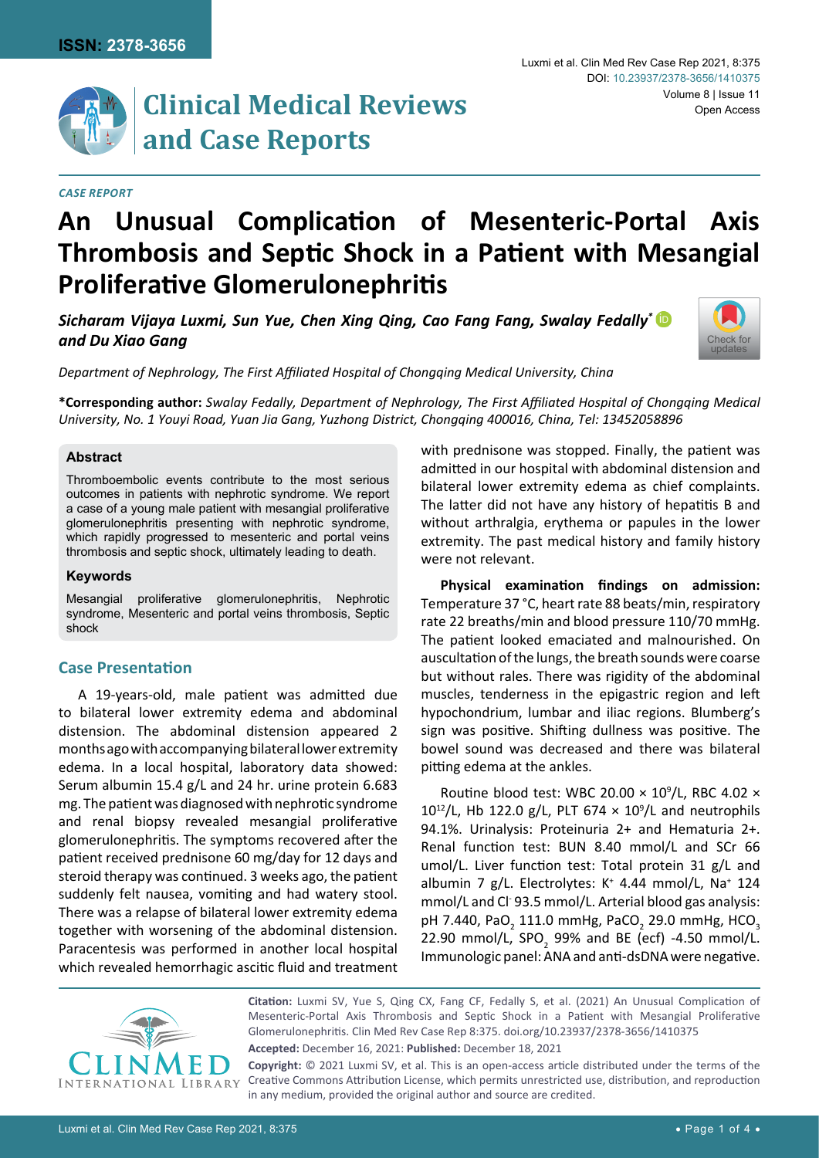# **Clinical Medical Reviews and Case Reports**

#### *Case Report*

# **An Unusual Complication of Mesenteric-Portal Axis Thrombosis and Septic Shock in a Patient with Mesangial Proliferative Glomerulonephritis**

*Sicharam Vijaya Luxmi, Sun Yue, Chen Xing Qing, Cao Fang Fang, Swalay Fedally\** [iD](https://orcid.org/0000-0001-8412-9845) *and Du Xiao Gang*



*Department of Nephrology, The First Affiliated Hospital of Chongqing Medical University, China*

**\*Corresponding author:** *Swalay Fedally, Department of Nephrology, The First Affiliated Hospital of Chongqing Medical University, No. 1 Youyi Road, Yuan Jia Gang, Yuzhong District, Chongqing 400016, China, Tel: 13452058896*

### **Abstract**

Thromboembolic events contribute to the most serious outcomes in patients with nephrotic syndrome. We report a case of a young male patient with mesangial proliferative glomerulonephritis presenting with nephrotic syndrome, which rapidly progressed to mesenteric and portal veins thrombosis and septic shock, ultimately leading to death.

#### **Keywords**

Mesangial proliferative glomerulonephritis, Nephrotic syndrome, Mesenteric and portal veins thrombosis, Septic shock

# **Case Presentation**

A 19-years-old, male patient was admitted due to bilateral lower extremity edema and abdominal distension. The abdominal distension appeared 2 months ago with accompanying bilateral lower extremity edema. In a local hospital, laboratory data showed: Serum albumin 15.4 g/L and 24 hr. urine protein 6.683 mg. The patient was diagnosed with nephrotic syndrome and renal biopsy revealed mesangial proliferative glomerulonephritis. The symptoms recovered after the patient received prednisone 60 mg/day for 12 days and steroid therapy was continued. 3 weeks ago, the patient suddenly felt nausea, vomiting and had watery stool. There was a relapse of bilateral lower extremity edema together with worsening of the abdominal distension. Paracentesis was performed in another local hospital which revealed hemorrhagic ascitic fluid and treatment

with prednisone was stopped. Finally, the patient was admitted in our hospital with abdominal distension and bilateral lower extremity edema as chief complaints. The latter did not have any history of hepatitis B and without arthralgia, erythema or papules in the lower extremity. The past medical history and family history were not relevant.

**Physical examination findings on admission:**  Temperature 37 °C, heart rate 88 beats/min, respiratory rate 22 breaths/min and blood pressure 110/70 mmHg. The patient looked emaciated and malnourished. On auscultation of the lungs, the breath sounds were coarse but without rales. There was rigidity of the abdominal muscles, tenderness in the epigastric region and left hypochondrium, lumbar and iliac regions. Blumberg's sign was positive. Shifting dullness was positive. The bowel sound was decreased and there was bilateral pitting edema at the ankles.

Routine blood test: WBC 20.00  $\times$  10<sup>9</sup>/L, RBC 4.02  $\times$  $10^{12}$ /L, Hb 122.0 g/L, PLT 674  $\times$  10<sup>9</sup>/L and neutrophils 94.1%. Urinalysis: Proteinuria 2+ and Hematuria 2+. Renal function test: BUN 8.40 mmol/L and SCr 66 umol/L. Liver function test: Total protein 31 g/L and albumin 7 g/L. Electrolytes: K<sup>+</sup> 4.44 mmol/L, Na<sup>+</sup> 124 mmol/L and Cl- 93.5 mmol/L. Arterial blood gas analysis: pH 7.440, PaO<sub>2</sub> 111.0 mmHg, PaCO<sub>2</sub> 29.0 mmHg, HCO<sub>3</sub> 22.90 mmol/L,  $SPO_{2}$  99% and BE (ecf) -4.50 mmol/L. Immunologic panel: ANA and anti-dsDNA were negative.



**Citation:** Luxmi SV, Yue S, Qing CX, Fang CF, Fedally S, et al. (2021) An Unusual Complication of Mesenteric-Portal Axis Thrombosis and Septic Shock in a Patient with Mesangial Proliferative Glomerulonephritis. Clin Med Rev Case Rep 8:375. [doi.org/10.23937/2378-3656/1410375](https://doi.org/10.23937/2378-3656/1410375)

**Accepted:** December 16, 2021: **Published:** December 18, 2021

**Copyright:** © 2021 Luxmi SV, et al. This is an open-access article distributed under the terms of the Creative Commons Attribution License, which permits unrestricted use, distribution, and reproduction in any medium, provided the original author and source are credited.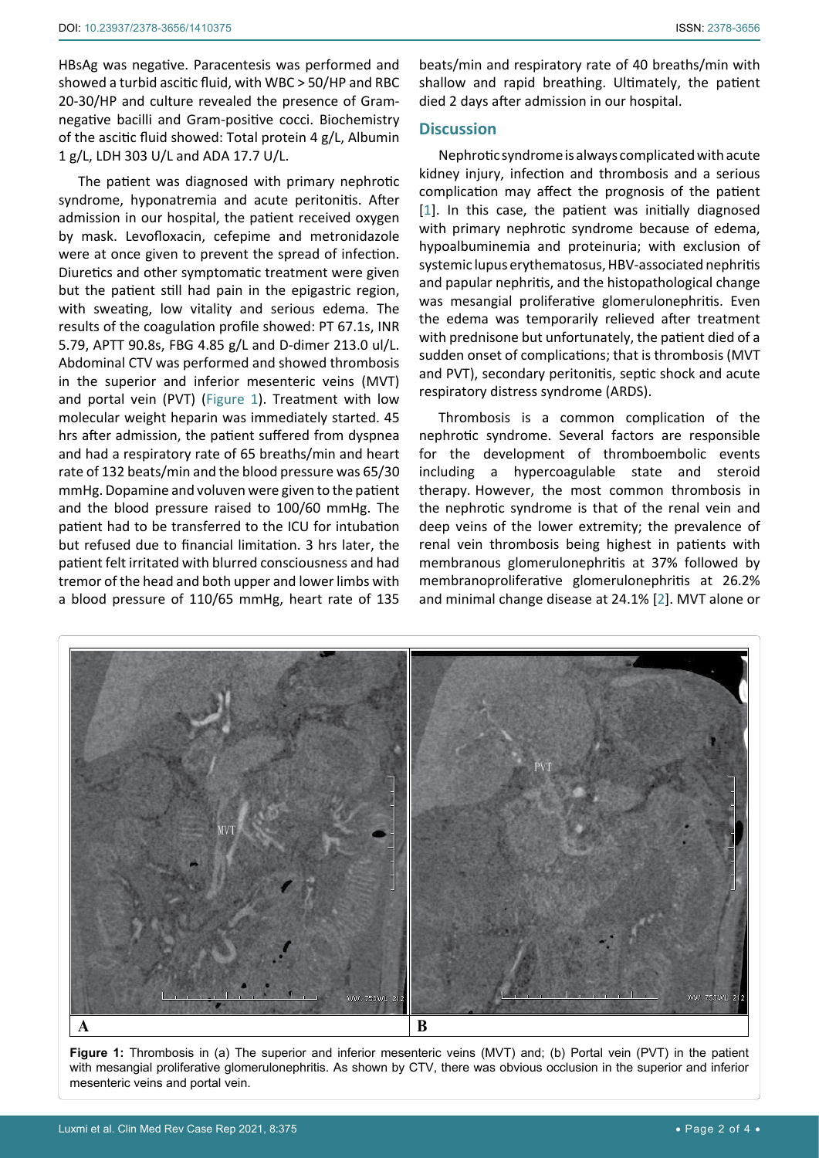HBsAg was negative. Paracentesis was performed and showed a turbid ascitic fluid, with WBC > 50/HP and RBC 20-30/HP and culture revealed the presence of Gramnegative bacilli and Gram-positive cocci. Biochemistry of the ascitic fluid showed: Total protein 4 g/L, Albumin 1 g/L, LDH 303 U/L and ADA 17.7 U/L.

The patient was diagnosed with primary nephrotic syndrome, hyponatremia and acute peritonitis. After admission in our hospital, the patient received oxygen by mask. Levofloxacin, cefepime and metronidazole were at once given to prevent the spread of infection. Diuretics and other symptomatic treatment were given but the patient still had pain in the epigastric region, with sweating, low vitality and serious edema. The results of the coagulation profile showed: PT 67.1s, INR 5.79, APTT 90.8s, FBG 4.85 g/L and D-dimer 213.0 ul/L. Abdominal CTV was performed and showed thrombosis in the superior and inferior mesenteric veins (MVT) and portal vein (PVT) ([Figure 1](#page-1-0)). Treatment with low molecular weight heparin was immediately started. 45 hrs after admission, the patient suffered from dyspnea and had a respiratory rate of 65 breaths/min and heart rate of 132 beats/min and the blood pressure was 65/30 mmHg. Dopamine and voluven were given to the patient and the blood pressure raised to 100/60 mmHg. The patient had to be transferred to the ICU for intubation but refused due to financial limitation. 3 hrs later, the patient felt irritated with blurred consciousness and had tremor of the head and both upper and lower limbs with a blood pressure of 110/65 mmHg, heart rate of 135

beats/min and respiratory rate of 40 breaths/min with shallow and rapid breathing. Ultimately, the patient died 2 days after admission in our hospital.

# **Discussion**

Nephrotic syndrome is always complicated with acute kidney injury, infection and thrombosis and a serious complication may affect the prognosis of the patient [\[1](#page-2-0)]. In this case, the patient was initially diagnosed with primary nephrotic syndrome because of edema, hypoalbuminemia and proteinuria; with exclusion of systemic lupus erythematosus, HBV-associated nephritis and papular nephritis, and the histopathological change was mesangial proliferative glomerulonephritis. Even the edema was temporarily relieved after treatment with prednisone but unfortunately, the patient died of a sudden onset of complications; that is thrombosis (MVT and PVT), secondary peritonitis, septic shock and acute respiratory distress syndrome (ARDS).

Thrombosis is a common complication of the nephrotic syndrome. Several factors are responsible for the development of thromboembolic events including a hypercoagulable state and steroid therapy. However, the most common thrombosis in the nephrotic syndrome is that of the renal vein and deep veins of the lower extremity; the prevalence of renal vein thrombosis being highest in patients with membranous glomerulonephritis at 37% followed by membranoproliferative glomerulonephritis at 26.2% and minimal change disease at 24.1% [[2\]](#page-2-1). MVT alone or

<span id="page-1-0"></span>

**Figure 1:** Thrombosis in (a) The superior and inferior mesenteric veins (MVT) and; (b) Portal vein (PVT) in the patient with mesangial proliferative glomerulonephritis. As shown by CTV, there was obvious occlusion in the superior and inferior mesenteric veins and portal vein.